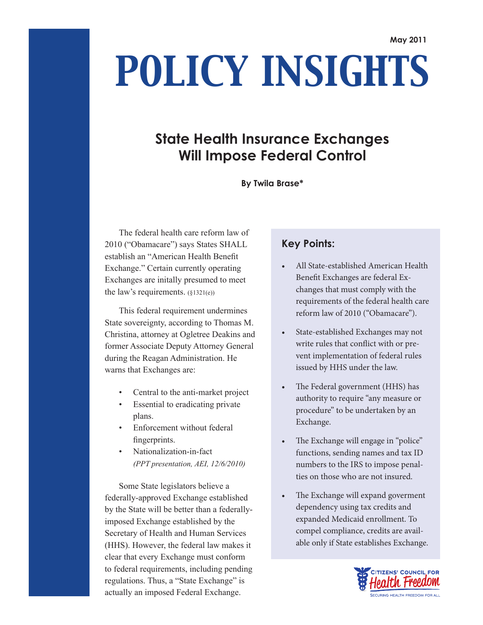# *POLICY INSIGHTS*

## **State Health Insurance Exchanges Will Impose Federal Control**

#### **By Twila Brase\***

The federal health care reform law of 2010 ("Obamacare") says States SHALL establish an "American Health Benefit Exchange." Certain currently operating Exchanges are initally presumed to meet the law's requirements.  $(\S 1321(e))$ 

This federal requirement undermines State sovereignty, according to Thomas M. Christina, attorney at Ogletree Deakins and former Associate Deputy Attorney General during the Reagan Administration. He warns that Exchanges are:

- Central to the anti-market project
- Essential to eradicating private plans.
- Enforcement without federal fingerprints.
- Nationalization-in-fact *(PPT presentation, AEI, 12/6/2010)*

Some State legislators believe a federally-approved Exchange established by the State will be better than a federallyimposed Exchange established by the Secretary of Health and Human Services (HHS). However, the federal law makes it clear that every Exchange must conform to federal requirements, including pending regulations. Thus, a "State Exchange" is actually an imposed Federal Exchange.

### **Key Points:**

- All State-established American Health Benefit Exchanges are federal Exchanges that must comply with the requirements of the federal health care reform law of 2010 ("Obamacare").
- State-established Exchanges may not write rules that conflict with or prevent implementation of federal rules issued by HHS under the law.
- The Federal government (HHS) has authority to require "any measure or procedure" to be undertaken by an Exchange.
- The Exchange will engage in "police" functions, sending names and tax ID numbers to the IRS to impose penalties on those who are not insured.
- The Exchange will expand goverment dependency using tax credits and expanded Medicaid enrollment. To compel compliance, credits are available only if State establishes Exchange.

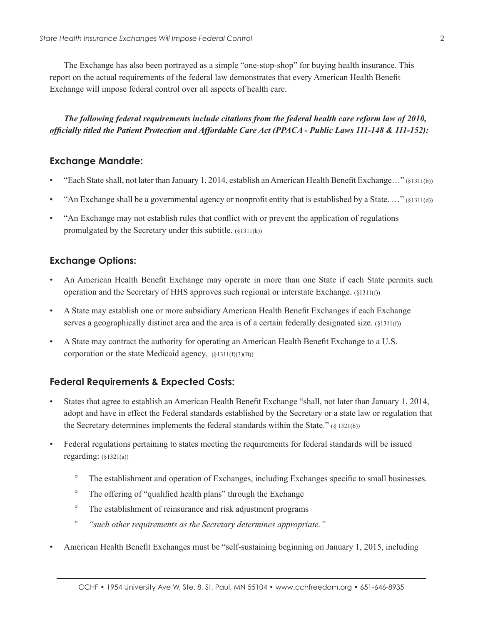The Exchange has also been portrayed as a simple "one-stop-shop" for buying health insurance. This report on the actual requirements of the federal law demonstrates that every American Health Benefit Exchange will impose federal control over all aspects of health care.

*The following federal requirements include citations from the federal health care reform law of 2010, officially titled the Patient Protection and Affordable Care Act (PPACA - Public Laws 111-148 & 111-152):*

#### **Exchange Mandate:**

- "Each State shall, not later than January 1, 2014, establish an American Health Benefit Exchange…" (§1311(b))
- "An Exchange shall be a governmental agency or nonprofit entity that is established by a State. …" (§1311(d))
- "An Exchange may not establish rules that conflict with or prevent the application of regulations promulgated by the Secretary under this subtitle. (§1311(k))

#### **Exchange Options:**

- An American Health Benefit Exchange may operate in more than one State if each State permits such operation and the Secretary of HHS approves such regional or interstate Exchange. (§1311(f))
- A State may establish one or more subsidiary American Health Benefit Exchanges if each Exchange serves a geographically distinct area and the area is of a certain federally designated size. (§1311(f))
- A State may contract the authority for operating an American Health Benefit Exchange to a U.S. corporation or the state Medicaid agency.  $(\S 1311(f)(3)(B))$

#### **Federal Requirements & Expected Costs:**

- States that agree to establish an American Health Benefit Exchange "shall, not later than January 1, 2014, adopt and have in effect the Federal standards established by the Secretary or a state law or regulation that the Secretary determines implements the federal standards within the State." (§ 1321(b))
- Federal regulations pertaining to states meeting the requirements for federal standards will be issued regarding: (§1321(a))
	- ° The establishment and operation of Exchanges, including Exchanges specific to small businesses.
	- ° The offering of "qualified health plans" through the Exchange
	- ° The establishment of reinsurance and risk adjustment programs
	- ° *"such other requirements as the Secretary determines appropriate."*
- American Health Benefit Exchanges must be "self-sustaining beginning on January 1, 2015, including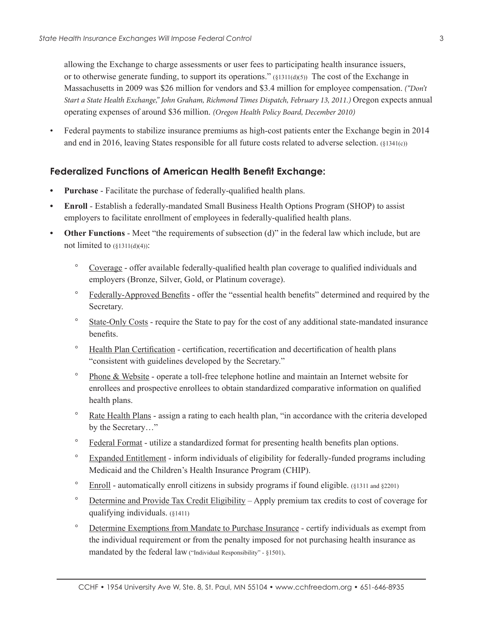allowing the Exchange to charge assessments or user fees to participating health insurance issuers, or to otherwise generate funding, to support its operations."  $(\S1311(d)(5))$  The cost of the Exchange in Massachusetts in 2009 was \$26 million for vendors and \$3.4 million for employee compensation. *("Don't Start a State Health Exchange," John Graham, Richmond Times Dispatch, February 13, 2011.)* Oregon expects annual operating expenses of around \$36 million. *(Oregon Health Policy Board, December 2010)*

• Federal payments to stabilize insurance premiums as high-cost patients enter the Exchange begin in 2014 and end in 2016, leaving States responsible for all future costs related to adverse selection. (§1341(c))

#### **Federalized Functions of American Health Benefit Exchange:**

- **Purchase** Facilitate the purchase of federally-qualified health plans.
- **Enroll** Establish a federally-mandated Small Business Health Options Program (SHOP) to assist employers to facilitate enrollment of employees in federally-qualified health plans.
- **Other Functions** Meet "the requirements of subsection (d)" in the federal law which include, but are not limited to  $(\S1311(d)(4))$ :
	- ° Coverage offer available federally-qualified health plan coverage to qualified individuals and employers (Bronze, Silver, Gold, or Platinum coverage).
	- ° Federally-Approved Benefits offer the "essential health benefits" determined and required by the Secretary.
	- ° State-Only Costs require the State to pay for the cost of any additional state-mandated insurance benefits.
	- ° Health Plan Certification certification, recertification and decertification of health plans "consistent with guidelines developed by the Secretary."
	- ° Phone & Website operate a toll-free telephone hotline and maintain an Internet website for enrollees and prospective enrollees to obtain standardized comparative information on qualified health plans.
	- ° Rate Health Plans assign a rating to each health plan, "in accordance with the criteria developed by the Secretary…"
	- ° Federal Format utilize a standardized format for presenting health benefits plan options.
	- ° Expanded Entitlement inform individuals of eligibility for federally-funded programs including Medicaid and the Children's Health Insurance Program (CHIP).
	- ° Enroll automatically enroll citizens in subsidy programs if found eligible. (§1311 and §2201)
	- ° Determine and Provide Tax Credit Eligibility Apply premium tax credits to cost of coverage for qualifying individuals. (§1411)
	- ° Determine Exemptions from Mandate to Purchase Insurance certify individuals as exempt from the individual requirement or from the penalty imposed for not purchasing health insurance as mandated by the federal law ("Individual Responsibility" - §1501).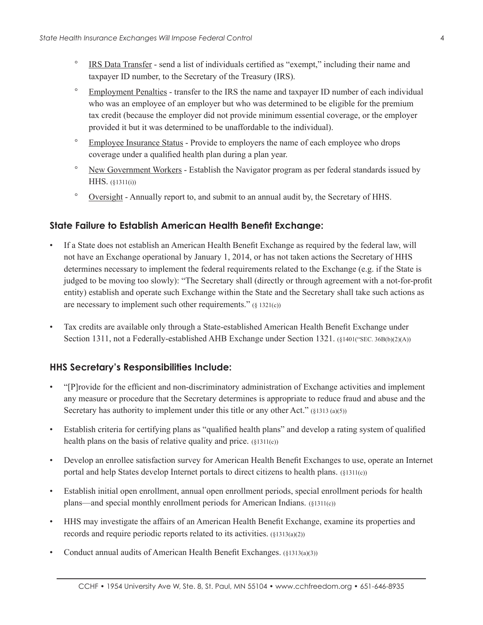- IRS Data Transfer send a list of individuals certified as "exempt," including their name and taxpayer ID number, to the Secretary of the Treasury (IRS).
- ° Employment Penalties transfer to the IRS the name and taxpayer ID number of each individual who was an employee of an employer but who was determined to be eligible for the premium tax credit (because the employer did not provide minimum essential coverage, or the employer provided it but it was determined to be unaffordable to the individual).
- ° Employee Insurance Status Provide to employers the name of each employee who drops coverage under a qualified health plan during a plan year.
- ° New Government Workers Establish the Navigator program as per federal standards issued by HHS. (§1311(i))
- ° Oversight Annually report to, and submit to an annual audit by, the Secretary of HHS.

#### **State Failure to Establish American Health Benefit Exchange:**

- If a State does not establish an American Health Benefit Exchange as required by the federal law, will not have an Exchange operational by January 1, 2014, or has not taken actions the Secretary of HHS determines necessary to implement the federal requirements related to the Exchange (e.g. if the State is judged to be moving too slowly): "The Secretary shall (directly or through agreement with a not-for-profit entity) establish and operate such Exchange within the State and the Secretary shall take such actions as are necessary to implement such other requirements."  $(§ 1321(c))$
- Tax credits are available only through a State-established American Health Benefit Exchange under Section 1311, not a Federally-established AHB Exchange under Section 1321. (§1401("SEC. 36B(b)(2)(A))

#### **HHS Secretary's Responsibilities Include:**

- "[P]rovide for the efficient and non-discriminatory administration of Exchange activities and implement any measure or procedure that the Secretary determines is appropriate to reduce fraud and abuse and the Secretary has authority to implement under this title or any other Act." (§1313 (a)(5))
- Establish criteria for certifying plans as "qualified health plans" and develop a rating system of qualified health plans on the basis of relative quality and price. (§1311(c))
- Develop an enrollee satisfaction survey for American Health Benefit Exchanges to use, operate an Internet portal and help States develop Internet portals to direct citizens to health plans. (§1311(c))
- Establish initial open enrollment, annual open enrollment periods, special enrollment periods for health plans—and special monthly enrollment periods for American Indians. (§1311(c))
- HHS may investigate the affairs of an American Health Benefit Exchange, examine its properties and records and require periodic reports related to its activities. (§1313(a)(2))
- Conduct annual audits of American Health Benefit Exchanges. (§1313(a)(3))